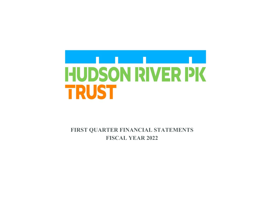

 **FIRST QUARTER FINANCIAL STATEMENTS FISCAL YEAR 2022**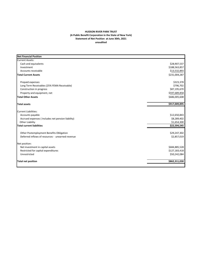## **HUDSON RIVER PARK TRUST (A Public Benefit Corporation in the State of New York) Statement of Net Position at June 30th, 2021 unaudited**

| <b>Net Financial Position</b>                     |               |
|---------------------------------------------------|---------------|
| <b>Current Assets:</b>                            |               |
| Cash and equivalents                              | \$28,907,537  |
| Investment                                        | \$188,563,857 |
| Accounts receivable                               | \$13,532,893  |
| <b>Total Current Assets</b>                       | \$231,004,287 |
| Prepaid expenses                                  | \$323,378     |
| Long Term Receivables (25% FEMA Receivable)       | \$796,702     |
| Construction in progress                          | \$87,195,670  |
| Property and equipment, net                       | \$597,689,858 |
| <b>Total Other Assets</b>                         | \$686,005,608 |
| <b>Total assets</b>                               | \$917,009,895 |
| <b>Current Liabilities:</b>                       |               |
| Accounts payable                                  | \$12,650,843  |
| Accrued expenses (Includes net pension liability) | \$8,289,402   |
| <b>Other Liability</b>                            | \$1,654,300   |
| <b>Total current liabilities</b>                  | \$22,594,545  |
| Other Postemployment Benefits Obligation          | \$29,247,302  |
| Deferred inflows of resources - unearned revenue  | \$2,857,019   |
| Net position:                                     |               |
| Net investment in capital assets                  | \$684,885,528 |
| Restricted for capital expenditures               | \$127,183,418 |
| Unrestricted                                      | \$50,242,084  |
| <b>Total net position</b>                         | \$862,311,030 |
|                                                   |               |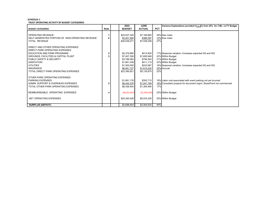## **SCHEDULE 1 TRUST OPERATING ACTIVITY BY BUDGET CATEGORIES**

|                                                                                              |             | 2022                                        | <b>JUNE</b>                             |            | Variance Explanations provided if + /- 5% from 25% for 3 Mo. vs FY Budget    |
|----------------------------------------------------------------------------------------------|-------------|---------------------------------------------|-----------------------------------------|------------|------------------------------------------------------------------------------|
| <b>BUDGET CATEGORIES</b>                                                                     | <b>Note</b> | <b>BUDGET</b>                               | <b>ACTUAL</b>                           | <b>PCT</b> |                                                                              |
| OPERATING REVENUE<br>SELF-GENERATED PORTION OF NON-OPERATING REVENUE<br><b>TOTAL REVENUE</b> |             | \$24,837,345<br>\$3,201,926<br>\$28,039,271 | \$7,169,860<br>\$369,397<br>\$7,539,258 | 27%        | 29% See notes<br>12% See notes                                               |
| DIRECT AND OTHER OPERATING EXPENSES<br>DIRECT PARK OPERATING EXPENSES                        |             |                                             |                                         |            |                                                                              |
| EDUCATION AND PARK PROGRAMS<br>GROUNDS, FACILITIES & CAPITAL PLANT                           |             | \$2,376,865<br>\$7,407,328                  | \$414,820<br>\$1,650,948                |            | 17% Seasonal variation; Increases expected IIQ and IIIQ<br>22% Within Budget |
| PUBLIC SAFETY & SECURITY<br><b>SANITATION</b>                                                |             | \$3,788,562<br>\$1,861,439                  | \$794,593<br>\$411.115                  |            | 21% Within Budget<br>22% Within Budget                                       |
| <b>UTILITIES</b><br><b>INSURANCE</b>                                                         |             | \$1,500,000<br>\$6,461,727                  | \$243,967<br>\$1,615,432                |            | 16% Seasonal variation; Increases expected IIQ and IIIQ<br>25% Accrual       |
| TOTAL DIRECT PARK OPERATING EXPENSES                                                         |             | \$23,395,921                                | \$5,130,875                             | 22%        |                                                                              |
| OTHER PARK OPERATING EXPENSES<br><b>PARKING EXPENSES</b>                                     |             | \$1,891,178                                 | \$352,715                               |            | 19% Labor cost associated with event parking not yet incurred                |
| ADMIN, SUPPORT & OVERHEAD EXPENSES<br>TOTAL OTHER PARK OPERATING EXPENSES                    |             | \$6,445,276<br>\$8.336.454                  | \$1,041,769<br>\$1.394.484              | 17%        | 16% Consultant projects for document mgmt, SharePoint not commenced          |
| REIMBURSEABLE OPERATING EXPENSES                                                             |             | (56, 391, 947)                              | ( \$1,492,034)                          |            | 23% Within Budget                                                            |
| NET OPERATING EXPENSES                                                                       |             | \$25,340,428                                | \$5,033,325                             |            | 20% Within Budget                                                            |
| <b>SURPLUS (DEFICIT)</b>                                                                     |             | \$2,698,843                                 | \$2,505,933                             | 93%        |                                                                              |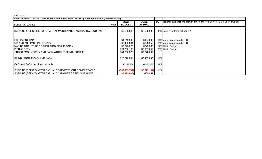## **SCHEDULE 2**

| SURPLUS (DEFICIT) AFTER CONSIDERATION OF CAPITAL MAINTENANCE (CAPm) & CAPITAL EQUIPMENT (CAPx)                                                                        |             |                                                                           |                                                                   |     |                                                                                                        |
|-----------------------------------------------------------------------------------------------------------------------------------------------------------------------|-------------|---------------------------------------------------------------------------|-------------------------------------------------------------------|-----|--------------------------------------------------------------------------------------------------------|
| <b>BUDGET CATEGORIES</b>                                                                                                                                              | <b>Note</b> | 2022<br><b>BUDGET</b>                                                     | <b>JUNE</b><br><b>ACTUAL</b>                                      |     | <b>PCT</b> Variance Explanations provided if + /- 5% from 25% for 3 Mo. vs FY Budget                   |
| SURPLUS (DEFICIT) BEFORE CAPITAL MAINTENANCE AND CAPITAL EQUIPMENT                                                                                                    |             | \$2,698,843                                                               | \$2,505,933                                                       |     | 93% Carry over from Schedule 1                                                                         |
| <b>EQUIPMENT CAPX</b><br>I UPLAND AND PARK PIERS CAPm<br>MARINE STRUCTURES OTHER THAN PIER 40 CAPm<br>PIER 40 CAPm<br>GROSS AMOUNT CAPx AND CAPM WITHOUT REIMBURSABLE |             | \$1,212,500<br>\$8,482,884<br>\$3,343,025<br>\$21,730,166<br>\$34,768,575 | \$164,200<br>\$833,959<br>\$742,266<br>\$6,037,642<br>\$7,778,067 |     | 14% Increase expected in IIQ<br>10% Increase expected in IIQ<br>22% Within Budget<br>28% Within Budget |
| REIMBURSABLE CAPx AND CAPm                                                                                                                                            |             | \$28,570,036                                                              | \$5,482,085                                                       | 19% |                                                                                                        |
| CAPx and CAPm net of reimbursable                                                                                                                                     |             | \$6,198,539                                                               | \$2,295,982                                                       | 37% |                                                                                                        |
| SURPLUS (DEFICIT) AFTER CAPx AND CAPM WITHOUT REIMBURSABLE<br>SURPLUS (DEFICIT) AFTER CAPx AND CAPM NET OF REIMBURSABLE                                               |             | (\$32,069,732)<br>(S3,499,696)                                            | (\$5,272,134)<br>\$209,951                                        | 16% |                                                                                                        |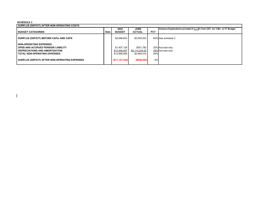## **SCHEDULE 3**

 $\mathbf{I}$ 

| SURPLUS (DEFICIT) AFTER NON-OPERATING COSTS                                                                                                          |             |                                             |                                            |            |                                                                           |  |  |
|------------------------------------------------------------------------------------------------------------------------------------------------------|-------------|---------------------------------------------|--------------------------------------------|------------|---------------------------------------------------------------------------|--|--|
|                                                                                                                                                      |             | 2022                                        | <b>JUNE</b>                                |            | Variance Explanations provided if + /- 5% from 25% for 3 Mo. vs FY Budget |  |  |
| <b>BUDGET CATEGORIES</b>                                                                                                                             | <b>Note</b> | <b>BUDGET</b>                               | <b>ACTUAL</b>                              | <b>PCT</b> |                                                                           |  |  |
| <b>SURPLUS (DEFICIT) BEFORE CAPM AND CAPX</b>                                                                                                        |             | \$2,698,843                                 | \$2,505,933                                |            | 93% See schedule 2                                                        |  |  |
| <b>I NON-OPERATING EXPENSES</b><br>I OPEB AND ACCRUED PENSION LIABILITY<br><b>I DEPRECIATIONS AND AMORTIZATION</b><br>I TOTAL NON-OPERATING EXPENSES |             | \$1,407,128<br>\$12,448,937<br>\$13.856.065 | \$351,782<br>\$3,112,234.25<br>\$3,464,016 | 25%        | 25% Accrued only<br>25% Accrued only                                      |  |  |
| SURPLUS (DEFICIT) AFTER NON-OPERATING EXPENSES                                                                                                       |             | (S11, 157, 222)                             | ( \$958,083)                               | 9%         |                                                                           |  |  |